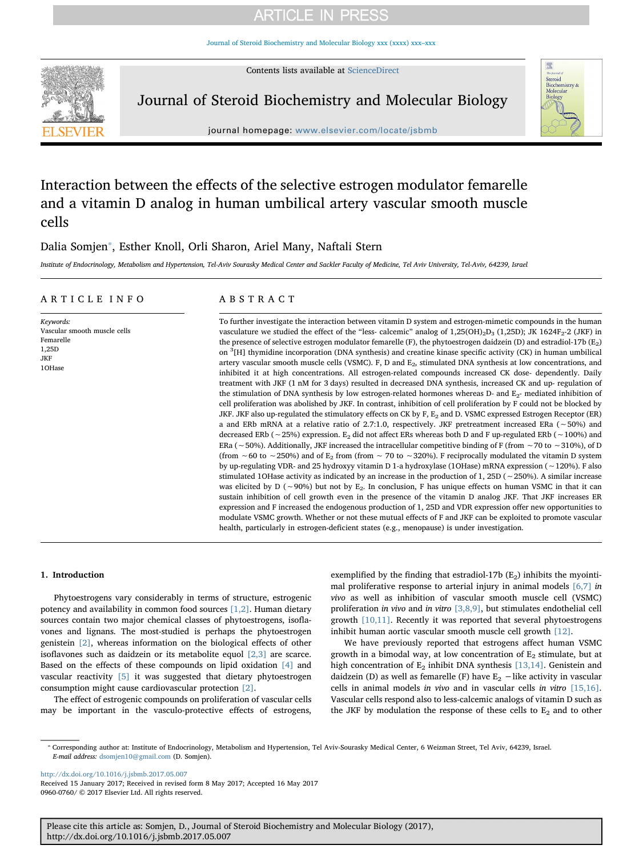## **ARTICLE IN PRESS**

[Journal of Steroid Biochemistry and Molecular Biology xxx \(xxxx\) xxx–xxx](http://dx.doi.org/10.1016/j.jsbmb.2017.05.007)

Contents lists available at [ScienceDirect](http://www.sciencedirect.com/science/journal/09600760)



Journal of Steroid Biochemistry and Molecular Biology



journal homepage: [www.elsevier.com/locate/jsbmb](http://www.elsevier.com/locate/jsbmb)

## Interaction between the effects of the selective estrogen modulator femarelle and a vitamin D analog in human umbilical artery vascular smooth muscle cells

### Dalia Somjen<sup>\*</sup>, Esther Knoll, Orli Sharon, Ariel Many, Naftali Stern

Institute of Endocrinology, Metabolism and Hypertension, Tel-Aviv Sourasky Medical Center and Sackler Faculty of Medicine, Tel Aviv University, Tel-Aviv, 64239, Israel

#### ARTICLE INFO

Keywords: Vascular smooth muscle cells Femarelle 1,25D JKF 1OHase

### ABSTRACT

To further investigate the interaction between vitamin D system and estrogen-mimetic compounds in the human vasculature we studied the effect of the "less- calcemic" analog of  $1,25(OH)_2D_3$  (1,25D); JK 1624F<sub>2</sub>-2 (JKF) in the presence of selective estrogen modulator femarelle (F), the phytoestrogen daidzein (D) and estradiol-17b ( $E_2$ ) on <sup>3</sup> [H] thymidine incorporation (DNA synthesis) and creatine kinase specific activity (CK) in human umbilical artery vascular smooth muscle cells (VSMC). F, D and  $E_2$ , stimulated DNA synthesis at low concentrations, and inhibited it at high concentrations. All estrogen-related compounds increased CK dose- dependently. Daily treatment with JKF (1 nM for 3 days) resulted in decreased DNA synthesis, increased CK and up- regulation of the stimulation of DNA synthesis by low estrogen-related hormones whereas D- and E<sub>2</sub>- mediated inhibition of cell proliferation was abolished by JKF. In contrast, inhibition of cell proliferation by F could not be blocked by JKF. JKF also up-regulated the stimulatory effects on CK by F, E<sub>2</sub> and D. VSMC expressed Estrogen Receptor (ER) a and ERb mRNA at a relative ratio of 2.7:1.0, respectively. JKF pretreatment increased ERa (∼50%) and decreased ERb (∼25%) expression. E2 did not affect ERs whereas both D and F up-regulated ERb (∼100%) and ERa (∼50%). Additionally, JKF increased the intracellular competitive binding of F (from ∼70 to ∼310%), of D (from ∼60 to ∼250%) and of E<sub>2</sub> from (from ∼ 70 to ∼320%). F reciprocally modulated the vitamin D system by up-regulating VDR- and 25 hydroxyy vitamin D 1-a hydroxylase (1OHase) mRNA expression (∼120%). F also stimulated 1OHase activity as indicated by an increase in the production of 1, 25D (∼250%). A similar increase was elicited by D (∼90%) but not by E2. In conclusion, F has unique effects on human VSMC in that it can sustain inhibition of cell growth even in the presence of the vitamin D analog JKF. That JKF increases ER expression and F increased the endogenous production of 1, 25D and VDR expression offer new opportunities to modulate VSMC growth. Whether or not these mutual effects of F and JKF can be exploited to promote vascular health, particularly in estrogen-deficient states (e.g., menopause) is under investigation.

#### 1. Introduction

Phytoestrogens vary considerably in terms of structure, estrogenic potency and availability in common food sources [\[1,2\]](#page-3-0). Human dietary sources contain two major chemical classes of phytoestrogens, isoflavones and lignans. The most-studied is perhaps the phytoestrogen genistein [\[2\]](#page-3-1), whereas information on the biological effects of other isoflavones such as daidzein or its metabolite equol [\[2,3\]](#page-3-1) are scarce. Based on the effects of these compounds on lipid oxidation [\[4\]](#page-3-2) and vascular reactivity [\[5\]](#page-3-3) it was suggested that dietary phytoestrogen consumption might cause cardiovascular protection [\[2\]](#page-3-1).

The effect of estrogenic compounds on proliferation of vascular cells may be important in the vasculo-protective effects of estrogens,

exemplified by the finding that estradiol-17b  $(E_2)$  inhibits the myointimal proliferative response to arterial injury in animal models  $[6,7]$  in vivo as well as inhibition of vascular smooth muscle cell (VSMC) proliferation in vivo and in vitro [\[3,8,9\],](#page-3-5) but stimulates endothelial cell growth [\[10,11\].](#page-3-6) Recently it was reported that several phytoestrogens inhibit human aortic vascular smooth muscle cell growth [\[12\].](#page-3-7)

We have previously reported that estrogens affect human VSMC growth in a bimodal way, at low concentration of  $E_2$  stimulate, but at high concentration of  $E_2$  inhibit DNA synthesis [\[13,14\].](#page-3-8) Genistein and daidzein (D) as well as femarelle (F) have  $E_2$  −like activity in vascular cells in animal models in vivo and in vascular cells in vitro [\[15,16\]](#page-3-9). Vascular cells respond also to less-calcemic analogs of vitamin D such as the JKF by modulation the response of these cells to  $E_2$  and to other

<http://dx.doi.org/10.1016/j.jsbmb.2017.05.007> Received 15 January 2017; Received in revised form 8 May 2017; Accepted 16 May 2017

0960-0760/ © 2017 Elsevier Ltd. All rights reserved.

Please cite this article as: Somjen, D., Journal of Steroid Biochemistry and Molecular Biology (2017), http://dx.doi.org/10.1016/j.jsbmb.2017.05.007

<span id="page-0-0"></span><sup>⁎</sup> Corresponding author at: Institute of Endocrinology, Metabolism and Hypertension, Tel Aviv-Sourasky Medical Center, 6 Weizman Street, Tel Aviv, 64239, Israel. E-mail address: [dsomjen10@gmail.com](mailto:dsomjen10@gmail.com) (D. Somjen).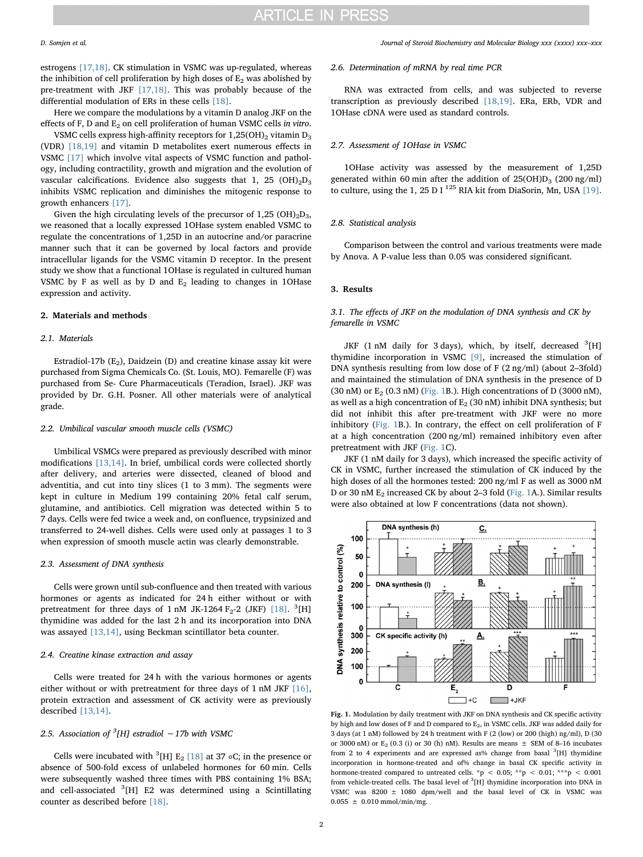estrogens [\[17,18\]](#page-3-10). CK stimulation in VSMC was up-regulated, whereas the inhibition of cell proliferation by high doses of  $E_2$  was abolished by pre-treatment with JKF [\[17,18\]](#page-3-10). This was probably because of the differential modulation of ERs in these cells [\[18\]](#page-3-11).

Here we compare the modulations by a vitamin D analog JKF on the effects of F, D and  $E_2$  on cell proliferation of human VSMC cells in vitro.

VSMC cells express high-affinity receptors for  $1,25(OH)<sub>2</sub>$  vitamin  $D<sub>3</sub>$ (VDR) [\[18,19\]](#page-3-11) and vitamin D metabolites exert numerous effects in VSMC [\[17\]](#page-3-10) which involve vital aspects of VSMC function and pathology, including contractility, growth and migration and the evolution of vascular calcifications. Evidence also suggests that 1, 25 (OH) $_2D_3$ inhibits VSMC replication and diminishes the mitogenic response to growth enhancers [\[17\]](#page-3-10).

Given the high circulating levels of the precursor of  $1,25$  (OH)<sub>2</sub>D<sub>3</sub>, we reasoned that a locally expressed 1OHase system enabled VSMC to regulate the concentrations of 1,25D in an autocrine and/or paracrine manner such that it can be governed by local factors and provide intracellular ligands for the VSMC vitamin D receptor. In the present study we show that a functional 1OHase is regulated in cultured human VSMC by F as well as by D and  $E_2$  leading to changes in 1OHase expression and activity.

#### 2. Materials and methods

#### 2.1. Materials

Estradiol-17b  $(E_2)$ , Daidzein (D) and creatine kinase assay kit were purchased from Sigma Chemicals Co. (St. Louis, MO). Femarelle (F) was purchased from Se- Cure Pharmaceuticals (Teradion, Israel). JKF was provided by Dr. G.H. Posner. All other materials were of analytical grade.

#### 2.2. Umbilical vascular smooth muscle cells (VSMC)

Umbilical VSMCs were prepared as previously described with minor modifications [\[13,14\]](#page-3-8). In brief, umbilical cords were collected shortly after delivery, and arteries were dissected, cleaned of blood and adventitia, and cut into tiny slices (1 to 3 mm). The segments were kept in culture in Medium 199 containing 20% fetal calf serum, glutamine, and antibiotics. Cell migration was detected within 5 to 7 days. Cells were fed twice a week and, on confluence, trypsinized and transferred to 24-well dishes. Cells were used only at passages 1 to 3 when expression of smooth muscle actin was clearly demonstrable.

#### 2.3. Assessment of DNA synthesis

Cells were grown until sub-confluence and then treated with various hormones or agents as indicated for 24 h either without or with pretreatment for three days of  $1 \text{ nM}$  JK-1264  $\text{F}_2$ -2 (JKF) [\[18\]](#page-3-11). <sup>3</sup>[H] thymidine was added for the last 2 h and its incorporation into DNA was assayed [\[13,14\]](#page-3-8), using Beckman scintillator beta counter.

#### 2.4. Creatine kinase extraction and assay

Cells were treated for 24 h with the various hormones or agents either without or with pretreatment for three days of 1 nM JKF [\[16\]](#page-3-12), protein extraction and assessment of CK activity were as previously described [\[13,14\].](#page-3-8)

### 2.5. Association of  $^3$ [H] estradiol  $-17$ b with VSMC

Cells were incubated with <sup>3</sup>[H]  $E_2$  [\[18\]](#page-3-11) at 37 ∘C; in the presence or absence of 500-fold excess of unlabeled hormones for 60 min. Cells were subsequently washed three times with PBS containing 1% BSA; and cell-associated <sup>3</sup>[H] E2 was determined using a Scintillating counter as described before [\[18\].](#page-3-11)

#### 2.6. Determination of mRNA by real time PCR

RNA was extracted from cells, and was subjected to reverse transcription as previously described [\[18,19\]](#page-3-11). ERa, ERb, VDR and 1OHase cDNA were used as standard controls.

#### 2.7. Assessment of 1OHase in VSMC

1OHase activity was assessed by the measurement of 1,25D generated within 60 min after the addition of  $25(OH)D_3$  (200 ng/ml) to culture, using the 1, 25 D I  $^{125}$  RIA kit from DiaSorin, Mn, USA [\[19\]](#page-3-13).

#### 2.8. Statistical analysis

Comparison between the control and various treatments were made by Anova. A P-value less than 0.05 was considered significant.

#### 3. Results

#### 3.1. The effects of JKF on the modulation of DNA synthesis and CK by femarelle in VSMC

JKF (1 nM daily for 3 days), which, by itself, decreased <sup>3</sup>[H] thymidine incorporation in VSMC [\[9\]](#page-3-14), increased the stimulation of DNA synthesis resulting from low dose of F (2 ng/ml) (about 2–3fold) and maintained the stimulation of DNA synthesis in the presence of D (30 nM) or  $E_2$  (0.3 nM) [\(Fig. 1](#page-1-0)B.). High concentrations of D (3000 nM), as well as a high concentration of  $E_2$  (30 nM) inhibit DNA synthesis; but did not inhibit this after pre-treatment with JKF were no more inhibitory [\(Fig. 1](#page-1-0)B.). In contrary, the effect on cell proliferation of F at a high concentration (200 ng/ml) remained inhibitory even after pretreatment with JKF ([Fig. 1C](#page-1-0)).

JKF (1 nM daily for 3 days), which increased the specific activity of CK in VSMC, further increased the stimulation of CK induced by the high doses of all the hormones tested: 200 ng/ml F as well as 3000 nM D or 30 nM E<sub>2</sub> increased CK by about 2-3 fold ([Fig. 1](#page-1-0)A.). Similar results were also obtained at low F concentrations (data not shown).

<span id="page-1-0"></span>

Fig. 1. Modulation by daily treatment with JKF on DNA synthesis and CK specific activity by high and low doses of F and D compared to  $\mathrm{E}_2$ , in VSMC cells. JKF was added daily for 3 days (at 1 nM) followed by 24 h treatment with F (2 (low) or 200 (high) ng/ml), D (30 or 3000 nM) or  $E<sub>2</sub>$  (0.3 (i) or 30 (h) nM). Results are means  $\pm$  SEM of 8–16 incubates from 2 to 4 experiments and are expressed as% change from basal <sup>3</sup>[H] thymidine incorporation in hormone-treated and of% change in basal CK specific activity in hormone-treated compared to untreated cells. \*p < 0.05; \*\*p < 0.01; \*\*\*p < 0.001 from vehicle-treated cells. The basal level of <sup>3</sup>[H] thymidine incorporation into DNA in VSMC was  $8200 \pm 1080$  dpm/well and the basal level of CK in VSMC was  $0.055 \pm 0.010$  mmol/min/mg.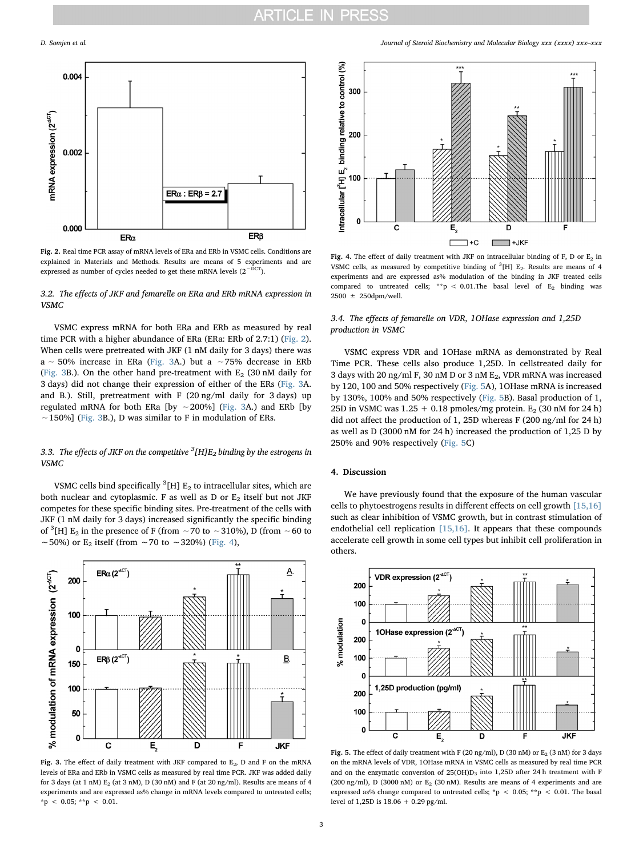<span id="page-2-0"></span>

Fig. 2. Real time PCR assay of mRNA levels of ERa and ERb in VSMC cells. Conditions are explained in Materials and Methods. Results are means of 5 experiments and are expressed as number of cycles needed to get these mRNA levels  $(2^{-DCT})$ .

#### 3.2. The effects of JKF and femarelle on ERa and ERb mRNA expression in VSMC

VSMC express mRNA for both ERa and ERb as measured by real time PCR with a higher abundance of ERa (ERa: ERb of 2.7:1) [\(Fig. 2](#page-2-0)). When cells were pretreated with JKF (1 nM daily for 3 days) there was a ∼ 50% increase in ERa [\(Fig. 3](#page-2-1)A.) but a ∼75% decrease in ERb ([Fig. 3](#page-2-1)B.). On the other hand pre-treatment with  $E_2$  (30 nM daily for 3 days) did not change their expression of either of the ERs [\(Fig. 3](#page-2-1)A. and B.). Still, pretreatment with F (20 ng/ml daily for 3 days) up regulated mRNA for both ERa [by ∼200%] [\(Fig. 3A](#page-2-1).) and ERb [by ∼150%] ([Fig. 3](#page-2-1)B.), D was similar to F in modulation of ERs.

### 3.3. The effects of JKF on the competitive  $^3$ [H]E $_2$  binding by the estrogens in VSMC

VSMC cells bind specifically  ${}^{3}$ [H] E<sub>2</sub> to intracellular sites, which are both nuclear and cytoplasmic. F as well as D or  $E_2$  itself but not JKF competes for these specific binding sites. Pre-treatment of the cells with JKF (1 nM daily for 3 days) increased significantly the specific binding of <sup>3</sup>[H] E<sub>2</sub> in the presence of F (from ∼70 to ∼310%), D (from ∼60 to ~50%) or E<sub>2</sub> itself (from ∼70 to ~320%) [\(Fig. 4\)](#page-2-2),

<span id="page-2-1"></span>

Fig. 3. The effect of daily treatment with JKF compared to  $E_2$ , D and F on the mRNA levels of ERa and ERb in VSMC cells as measured by real time PCR. JKF was added daily for 3 days (at 1 nM)  $E_2$  (at 3 nM), D (30 nM) and F (at 20 ng/ml). Results are means of 4 experiments and are expressed as% change in mRNA levels compared to untreated cells;  $^{\star}\text{p}$  < 0.05;  $^{\star\star}\text{p}$  < 0.01.

D. Somjen et al. *Journal of Steroid Biochemistry and Molecular Biology xxx (xxxx) xxx–xxx*

<span id="page-2-2"></span>

Fig. 4. The effect of daily treatment with JKF on intracellular binding of F, D or  $E_2$  in VSMC cells, as measured by competitive binding of  ${}^{3}$ [H] E<sub>2</sub>. Results are means of 4 experiments and are expressed as% modulation of the binding in JKF treated cells compared to untreated cells; \*\*p < 0.01.The basal level of  $E_2$  binding was 2500 ± 250dpm/well.

#### 3.4. The effects of femarelle on VDR, 1OHase expression and 1,25D production in VSMC

VSMC express VDR and 1OHase mRNA as demonstrated by Real Time PCR. These cells also produce 1,25D. In cellstreated daily for 3 days with 20 ng/ml F, 30 nM D or 3 nM E2, VDR mRNA was increased by 120, 100 and 50% respectively [\(Fig. 5A](#page-2-3)), 1OHase mRNA is increased by 130%, 100% and 50% respectively ([Fig. 5B](#page-2-3)). Basal production of 1, 25D in VSMC was  $1.25 + 0.18$  pmoles/mg protein. E<sub>2</sub> (30 nM for 24 h) did not affect the production of 1, 25D whereas F (200 ng/ml for 24 h) as well as D (3000 nM for 24 h) increased the production of 1,25 D by 250% and 90% respectively ([Fig. 5C](#page-2-3))

#### 4. Discussion

We have previously found that the exposure of the human vascular cells to phytoestrogens results in different effects on cell growth [\[15,16\]](#page-3-9) such as clear inhibition of VSMC growth, but in contrast stimulation of endothelial cell replication [\[15,16\].](#page-3-9) It appears that these compounds accelerate cell growth in some cell types but inhibit cell proliferation in others.

<span id="page-2-3"></span>

Fig. 5. The effect of daily treatment with F (20 ng/ml), D (30 nM) or  $E_2$  (3 nM) for 3 days on the mRNA levels of VDR, 1OHase mRNA in VSMC cells as measured by real time PCR and on the enzymatic conversion of  $25(OH)D_3$  into  $1,25D$  after 24 h treatment with F (200 ng/ml), D (3000 nM) or  $E_2$  (30 nM). Results are means of 4 experiments and are expressed as% change compared to untreated cells; \*p < 0.05; \*\*p < 0.01. The basal level of 1,25D is 18.06 + 0.29 pg/ml.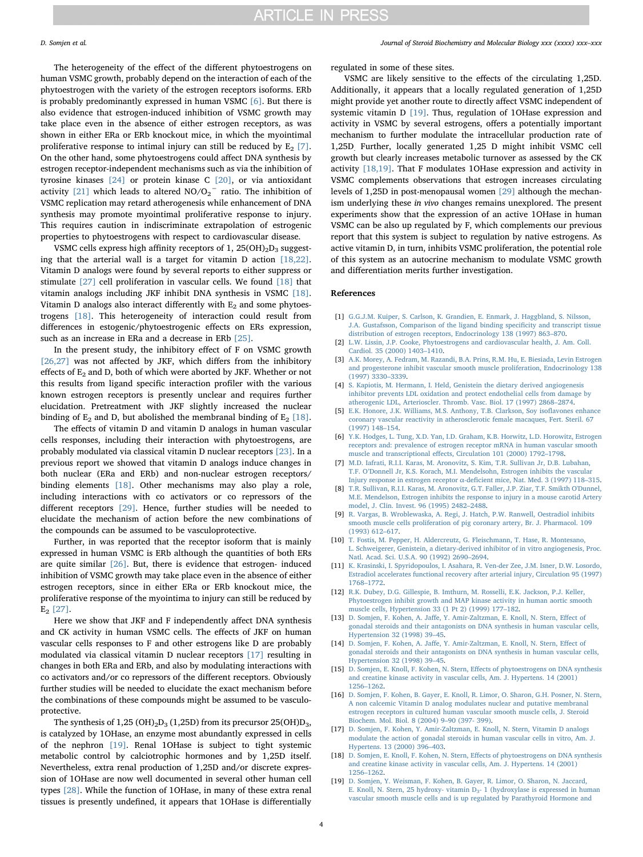The heterogeneity of the effect of the different phytoestrogens on human VSMC growth, probably depend on the interaction of each of the phytoestrogen with the variety of the estrogen receptors isoforms. ERb is probably predominantly expressed in human VSMC [\[6\].](#page-3-4) But there is also evidence that estrogen-induced inhibition of VSMC growth may take place even in the absence of either estrogen receptors, as was shown in either ERa or ERb knockout mice, in which the myointimal proliferative response to intimal injury can still be reduced by  $E_2$  [\[7\]](#page-3-15). On the other hand, some phytoestrogens could affect DNA synthesis by estrogen receptor-independent mechanisms such as via the inhibition of tyrosine kinases [\[24\]](#page-4-0) or protein kinase C [\[20\],](#page-4-1) or via antioxidant activity [\[21\]](#page-4-2) which leads to altered  $NO/O_2^-$  ratio. The inhibition of VSMC replication may retard atherogenesis while enhancement of DNA synthesis may promote myointimal proliferative response to injury. This requires caution in indiscriminate extrapolation of estrogenic properties to phytoestrogens with respect to cardiovascular disease.

VSMC cells express high affinity receptors of 1,  $25(OH)_{2}D_{3}$  suggesting that the arterial wall is a target for vitamin D action [\[18,22\]](#page-3-11). Vitamin D analogs were found by several reports to either suppress or stimulate [\[27\]](#page-4-3) cell proliferation in vascular cells. We found [\[18\]](#page-3-11) that vitamin analogs including JKF inhibit DNA synthesis in VSMC [\[18\]](#page-3-11). Vitamin D analogs also interact differently with  $E_2$  and some phytoestrogens [\[18\].](#page-3-11) This heterogeneity of interaction could result from differences in estogenic/phytoestrogenic effects on ERs expression, such as an increase in ERa and a decrease in ERb [\[25\].](#page-4-4)

In the present study, the inhibitory effect of F on VSMC growth [\[26,27\]](#page-4-5) was not affected by JKF, which differs from the inhibitory effects of  $E_2$  and D, both of which were aborted by JKF. Whether or not this results from ligand specific interaction profiler with the various known estrogen receptors is presently unclear and requires further elucidation. Pretreatment with JKF slightly increased the nuclear binding of  $E_2$  and D, but abolished the membranal binding of  $E_2$  [\[18\]](#page-3-11).

The effects of vitamin D and vitamin D analogs in human vascular cells responses, including their interaction with phytoestrogens, are probably modulated via classical vitamin D nuclear receptors [\[23\].](#page-4-6) In a previous report we showed that vitamin D analogs induce changes in both nuclear (ERa and ERb) and non-nuclear estrogen receptors/ binding elements [\[18\]](#page-3-11). Other mechanisms may also play a role, including interactions with co activators or co repressors of the different receptors [\[29\].](#page-4-7) Hence, further studies will be needed to elucidate the mechanism of action before the new combinations of the compounds can be assumed to be vasculoprotective.

Further, in was reported that the receptor isoform that is mainly expressed in human VSMC is ERb although the quantities of both ERs are quite similar [\[26\]](#page-4-5). But, there is evidence that estrogen- induced inhibition of VSMC growth may take place even in the absence of either estrogen receptors, since in either ERa or ERb knockout mice, the proliferative response of the myointima to injury can still be reduced by  $E_2$  [\[27\]](#page-4-3).

Here we show that JKF and F independently affect DNA synthesis and CK activity in human VSMC cells. The effects of JKF on human vascular cells responses to F and other estrogens like D are probably modulated via classical vitamin D nuclear receptors [\[17\]](#page-3-10) resulting in changes in both ERa and ERb, and also by modulating interactions with co activators and/or co repressors of the different receptors. Obviously further studies will be needed to elucidate the exact mechanism before the combinations of these compounds might be assumed to be vasculoprotective.

The synthesis of  $1,25 \text{ (OH)}_{2}\text{D}_{3}$  (1,25D) from its precursor 25(OH) $\text{D}_{3}$ , is catalyzed by 1OHase, an enzyme most abundantly expressed in cells of the nephron [\[19\]](#page-3-13). Renal 1OHase is subject to tight systemic metabolic control by calciotrophic hormones and by 1,25D itself. Nevertheless, extra renal production of 1,25D and/or discrete expression of 1OHase are now well documented in several other human cell types [\[28\]](#page-4-8). While the function of 1OHase, in many of these extra renal tissues is presently undefined, it appears that 1OHase is differentially

regulated in some of these sites.

VSMC are likely sensitive to the effects of the circulating 1,25D. Additionally, it appears that a locally regulated generation of 1,25D might provide yet another route to directly affect VSMC independent of systemic vitamin D [\[19\]](#page-3-13). Thus, regulation of 1OHase expression and activity in VSMC by several estrogens, offers a potentially important mechanism to further modulate the intracellular production rate of 1,25D. Further, locally generated 1,25 D might inhibit VSMC cell growth but clearly increases metabolic turnover as assessed by the CK activity [\[18,19\]](#page-3-11). That F modulates 1OHase expression and activity in VSMC complements observations that estrogen increases circulating levels of 1,25D in post-menopausal women [\[29\]](#page-4-7) although the mechanism underlying these in vivo changes remains unexplored. The present experiments show that the expression of an active 1OHase in human VSMC can be also up regulated by F, which complements our previous report that this system is subject to regulation by native estrogens. As active vitamin D, in turn, inhibits VSMC proliferation, the potential role of this system as an autocrine mechanism to modulate VSMC growth and differentiation merits further investigation.

#### References

- <span id="page-3-0"></span>[1] [G.G.J.M. Kuiper, S. Carlson, K. Grandien, E. Enmark, J. Haggbland, S. Nilsson,](http://refhub.elsevier.com/S0960-0760(17)30131-0/sbref0005) [J.A. Gustafsson, Comparison of the ligand binding speci](http://refhub.elsevier.com/S0960-0760(17)30131-0/sbref0005)ficity and transcript tissue [distribution of estrogen receptors, Endocrinology 138 \(1997\) 863](http://refhub.elsevier.com/S0960-0760(17)30131-0/sbref0005)–870.
- <span id="page-3-1"></span>[2] [L.W. Lissin, J.P. Cooke, Phytoestrogens and cardiovascular health, J. Am. Coll.](http://refhub.elsevier.com/S0960-0760(17)30131-0/sbref0010) [Cardiol. 35 \(2000\) 1403](http://refhub.elsevier.com/S0960-0760(17)30131-0/sbref0010)–1410.
- <span id="page-3-5"></span>[3] [A.K. Morey, A. Fedram, M. Razandi, B.A. Prins, R.M. Hu, E. Biesiada, Levin Estrogen](http://refhub.elsevier.com/S0960-0760(17)30131-0/sbref0015) [and progesterone inhibit vascular smooth muscle proliferation, Endocrinology 138](http://refhub.elsevier.com/S0960-0760(17)30131-0/sbref0015) [\(1997\) 3330](http://refhub.elsevier.com/S0960-0760(17)30131-0/sbref0015)–3339.
- <span id="page-3-2"></span>[4] [S. Kapiotis, M. Hermann, I. Held, Genistein the dietary derived angiogenesis](http://refhub.elsevier.com/S0960-0760(17)30131-0/sbref0020) [inhibitor prevents LDL oxidation and protect endothelial cells from damage by](http://refhub.elsevier.com/S0960-0760(17)30131-0/sbref0020) [atherogenic LDL, Arterioscler. Thromb. Vasc. Biol. 17 \(1997\) 2868](http://refhub.elsevier.com/S0960-0760(17)30131-0/sbref0020)–2874.
- <span id="page-3-3"></span>[5] [E.K. Honore, J.K. Williams, M.S. Anthony, T.B. Clarkson, Soy iso](http://refhub.elsevier.com/S0960-0760(17)30131-0/sbref0025)flavones enhance [coronary vascular reactivity in atherosclerotic female macaques, Fert. Steril. 67](http://refhub.elsevier.com/S0960-0760(17)30131-0/sbref0025) [\(1997\) 148](http://refhub.elsevier.com/S0960-0760(17)30131-0/sbref0025)–154.
- <span id="page-3-4"></span>[6] [Y.K. Hodges, L. Tung, X.D. Yan, I.D. Graham, K.B. Horwitz, L.D. Horowitz, Estrogen](http://refhub.elsevier.com/S0960-0760(17)30131-0/sbref0030) [receptors and: prevalence of estrogen receptor mRNA in human vascular smooth](http://refhub.elsevier.com/S0960-0760(17)30131-0/sbref0030) muscle and transcriptional eff[ects, Circulation 101 \(2000\) 1792](http://refhub.elsevier.com/S0960-0760(17)30131-0/sbref0030)–1798.
- <span id="page-3-15"></span>[7] [M.D. Iafrati, R.I.I. Karas, M. Aronovitz, S. Kim, T.R. Sullivan Jr, D.B. Lubahan,](http://refhub.elsevier.com/S0960-0760(17)30131-0/sbref0035) T.F. O'[Donnell Jr, K.S. Korach, M.I. Mendelsohn, Estrogen inhibits the vascular](http://refhub.elsevier.com/S0960-0760(17)30131-0/sbref0035) [Injury response in estrogen receptor](http://refhub.elsevier.com/S0960-0760(17)30131-0/sbref0035) α-deficient mice, Nat. Med. 3 (1997) 118–315.
- [8] [T.R. Sullivan, R.I.I. Karas, M. Aronovitz, G.T. Faller, J.P. Ziar, T.F. Smikth O'Dunnel,](http://refhub.elsevier.com/S0960-0760(17)30131-0/sbref0040) [M.E. Mendelson, Estrogen inhibits the response to injury in a mouse carotid Artery](http://refhub.elsevier.com/S0960-0760(17)30131-0/sbref0040) [model, J. Clin. Invest. 96 \(1995\) 2482](http://refhub.elsevier.com/S0960-0760(17)30131-0/sbref0040)–2488.
- <span id="page-3-14"></span>[9] [R. Vargas, B. Wroblewaska, A. Regi, J. Hatch, P.W. Ranwell, Oestradiol inhibits](http://refhub.elsevier.com/S0960-0760(17)30131-0/sbref0045) [smooth muscle cells proliferation of pig coronary artery, Br. J. Pharmacol. 109](http://refhub.elsevier.com/S0960-0760(17)30131-0/sbref0045) [\(1993\) 612](http://refhub.elsevier.com/S0960-0760(17)30131-0/sbref0045)–617.
- <span id="page-3-6"></span>[10] [T. Fostis, M. Pepper, H. Aldercreutz, G. Fleischmann, T. Hase, R. Montesano,](http://refhub.elsevier.com/S0960-0760(17)30131-0/sbref0050) [L. Schweigerer, Genistein, a dietary-derived inhibitor of in vitro angiogenesis, Proc.](http://refhub.elsevier.com/S0960-0760(17)30131-0/sbref0050) [Natl. Acad. Sci. U.S.A. 90 \(1992\) 2690](http://refhub.elsevier.com/S0960-0760(17)30131-0/sbref0050)–2694.
- [11] [K. Krasinski, I. Spyridopoulos, I. Asahara, R. Ven-der Zee, J.M. Isner, D.W. Losordo,](http://refhub.elsevier.com/S0960-0760(17)30131-0/sbref0055) [Estradiol accelerates functional recovery after arterial injury, Circulation 95 \(1997\)](http://refhub.elsevier.com/S0960-0760(17)30131-0/sbref0055) 1768–[1772.](http://refhub.elsevier.com/S0960-0760(17)30131-0/sbref0055)
- <span id="page-3-7"></span>[12] [R.K. Dubey, D.G. Gillespie, B. Imthurn, M. Rosselli, E.K. Jackson, P.J. Keller,](http://refhub.elsevier.com/S0960-0760(17)30131-0/sbref0060) [Phytoestrogen inhibit growth and MAP kinase activity in human aortic smooth](http://refhub.elsevier.com/S0960-0760(17)30131-0/sbref0060) [muscle cells, Hypertension 33 \(1 Pt 2\) \(1999\) 177](http://refhub.elsevier.com/S0960-0760(17)30131-0/sbref0060)–182.
- <span id="page-3-8"></span>[13] D. Somjen, F. Kohen, A. Jaff[e, Y. Amir-Zaltzman, E. Knoll, N. Stern, E](http://refhub.elsevier.com/S0960-0760(17)30131-0/sbref0065)ffect of [gonadal steroids and their antagonists on DNA synthesis in human vascular cells,](http://refhub.elsevier.com/S0960-0760(17)30131-0/sbref0065) Hypertension [32 \(1998\) 39](http://refhub.elsevier.com/S0960-0760(17)30131-0/sbref0065)–45.
- [14] D. Somjen, F. Kohen, A. Jaff[e, Y. Amir-Zaltzman, E. Knoll, N. Stern, E](http://refhub.elsevier.com/S0960-0760(17)30131-0/sbref0070)ffect of [gonadal steroids and their antagonists on DNA synthesis in human vascular cells,](http://refhub.elsevier.com/S0960-0760(17)30131-0/sbref0070) [Hypertension 32 \(1998\) 39](http://refhub.elsevier.com/S0960-0760(17)30131-0/sbref0070)–45.
- <span id="page-3-9"></span>[15] [D. Somjen, E. Knoll, F. Kohen, N. Stern, E](http://refhub.elsevier.com/S0960-0760(17)30131-0/sbref0075)ffects of phytoestrogens on DNA synthesis [and creatine kinase activity in vascular cells, Am. J. Hypertens. 14 \(2001\)](http://refhub.elsevier.com/S0960-0760(17)30131-0/sbref0075) 1256–[1262.](http://refhub.elsevier.com/S0960-0760(17)30131-0/sbref0075)
- <span id="page-3-12"></span>[16] [D. Somjen, F. Kohen, B. Gayer, E. Knoll, R. Limor, O. Sharon, G.H. Posner, N. Stern,](http://refhub.elsevier.com/S0960-0760(17)30131-0/sbref0080) [A non calcemic Vitamin D analog modulates nuclear and putative membranal](http://refhub.elsevier.com/S0960-0760(17)30131-0/sbref0080) [estrogen receptors in cultured human vascular smooth muscle cells, J. Steroid](http://refhub.elsevier.com/S0960-0760(17)30131-0/sbref0080) [Biochem. Mol. Biol. 8 \(2004\) 9](http://refhub.elsevier.com/S0960-0760(17)30131-0/sbref0080)–90 (397- 399).
- <span id="page-3-10"></span>[17] [D. Somjen, F. Kohen, Y. Amir-Zaltzman, E. Knoll, N. Stern, Vitamin D analogs](http://refhub.elsevier.com/S0960-0760(17)30131-0/sbref0085) [modulate the action of gonadal steroids in human vascular cells in vitro, Am. J.](http://refhub.elsevier.com/S0960-0760(17)30131-0/sbref0085) [Hypertens. 13 \(2000\) 396](http://refhub.elsevier.com/S0960-0760(17)30131-0/sbref0085)–403.
- <span id="page-3-11"></span>[18] [D. Somjen, E. Knoll, F. Kohen, N. Stern, E](http://refhub.elsevier.com/S0960-0760(17)30131-0/sbref0090)ffects of phytoestrogens on DNA synthesis [and creatine kinase activity in vascular cells, Am. J. Hypertens. 14 \(2001\)](http://refhub.elsevier.com/S0960-0760(17)30131-0/sbref0090) 1256–[1262.](http://refhub.elsevier.com/S0960-0760(17)30131-0/sbref0090)
- <span id="page-3-13"></span>[19] [D. Somjen, Y. Weisman, F. Kohen, B. Gayer, R. Limor, O. Sharon, N. Jaccard,](http://refhub.elsevier.com/S0960-0760(17)30131-0/sbref0095) E. Knoll, N. Stern, 25 hydroxy- vitamin D<sub>3</sub>- 1 (hydroxylase is expressed in human [vascular smooth muscle cells and is up regulated by Parathyroid Hormone and](http://refhub.elsevier.com/S0960-0760(17)30131-0/sbref0095)